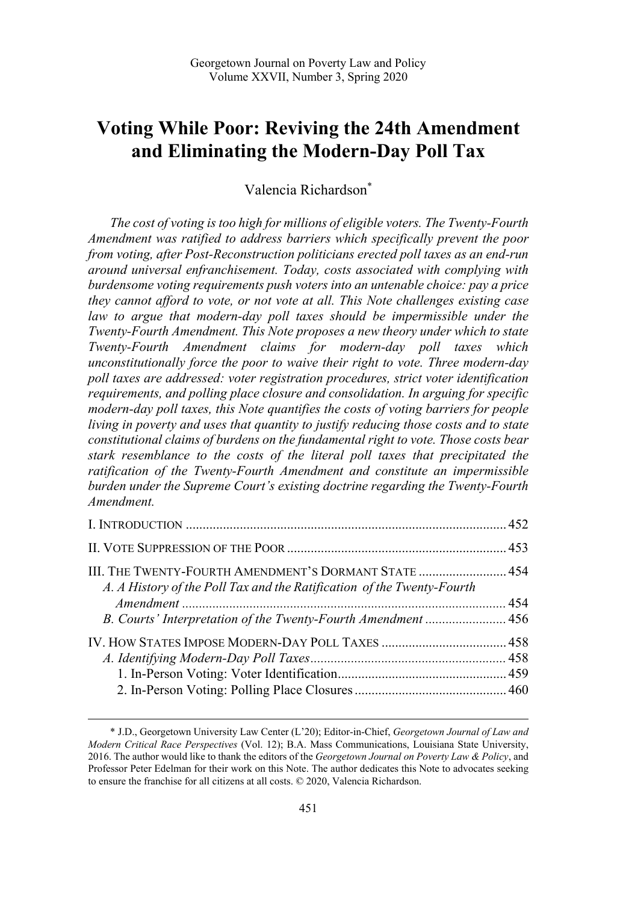# **Voting While Poor: Reviving the 24th Amendment and Eliminating the Modern-Day Poll Tax**

Valencia Richardson\*

*The cost of voting is too high for millions of eligible voters. The Twenty-Fourth Amendment was ratified to address barriers which specifically prevent the poor from voting, after Post-Reconstruction politicians erected poll taxes as an end-run around universal enfranchisement. Today, costs associated with complying with burdensome voting requirements push voters into an untenable choice: pay a price they cannot afford to vote, or not vote at all. This Note challenges existing case*  law to argue that modern-day poll taxes should be impermissible under the *Twenty-Fourth Amendment. This Note proposes a new theory under which to state Twenty-Fourth Amendment claims for modern-day poll taxes which unconstitutionally force the poor to waive their right to vote. Three modern-day poll taxes are addressed: voter registration procedures, strict voter identification requirements, and polling place closure and consolidation. In arguing for specific modern-day poll taxes, this Note quantifies the costs of voting barriers for people living in poverty and uses that quantity to justify reducing those costs and to state constitutional claims of burdens on the fundamental right to vote. Those costs bear stark resemblance to the costs of the literal poll taxes that precipitated the ratification of the Twenty-Fourth Amendment and constitute an impermissible burden under the Supreme Court's existing doctrine regarding the Twenty-Fourth Amendment.* 

| III. THE TWENTY-FOURTH AMENDMENT'S DORMANT STATE  454<br>A. A History of the Poll Tax and the Ratification of the Twenty-Fourth |  |
|---------------------------------------------------------------------------------------------------------------------------------|--|
|                                                                                                                                 |  |
| B. Courts' Interpretation of the Twenty-Fourth Amendment  456                                                                   |  |
|                                                                                                                                 |  |
|                                                                                                                                 |  |
|                                                                                                                                 |  |
|                                                                                                                                 |  |
|                                                                                                                                 |  |

<sup>\*</sup> J.D., Georgetown University Law Center (L'20); Editor-in-Chief, *Georgetown Journal of Law and Modern Critical Race Perspectives* (Vol. 12); B.A. Mass Communications, Louisiana State University, 2016. The author would like to thank the editors of the *Georgetown Journal on Poverty Law & Policy*, and Professor Peter Edelman for their work on this Note. The author dedicates this Note to advocates seeking to ensure the franchise for all citizens at all costs. © 2020, Valencia Richardson.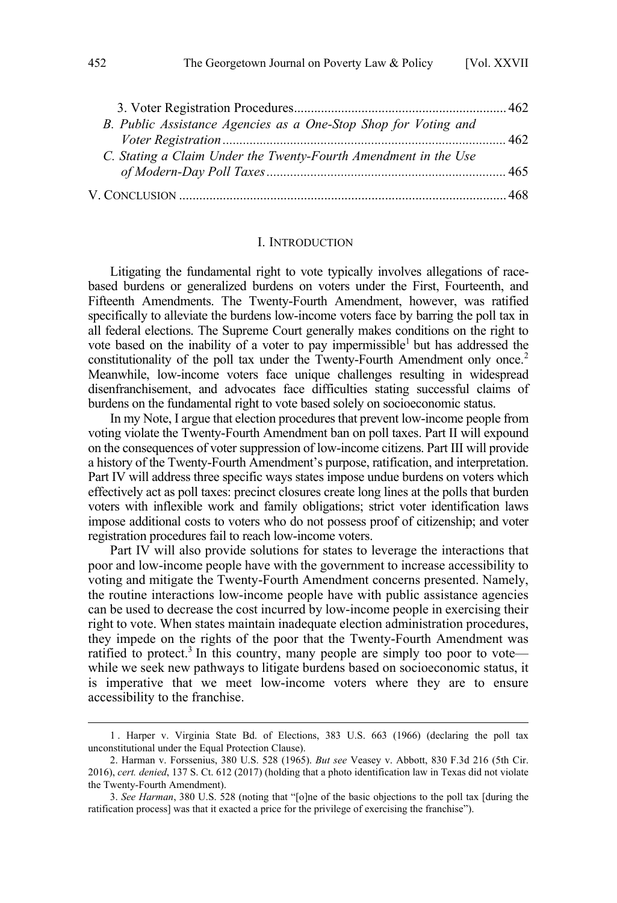| B. Public Assistance Agencies as a One-Stop Shop for Voting and |  |
|-----------------------------------------------------------------|--|
|                                                                 |  |
| C. Stating a Claim Under the Twenty-Fourth Amendment in the Use |  |
|                                                                 |  |
|                                                                 |  |

#### I. INTRODUCTION

Litigating the fundamental right to vote typically involves allegations of racebased burdens or generalized burdens on voters under the First, Fourteenth, and Fifteenth Amendments. The Twenty-Fourth Amendment, however, was ratified specifically to alleviate the burdens low-income voters face by barring the poll tax in all federal elections. The Supreme Court generally makes conditions on the right to vote based on the inability of a voter to pay impermissible but has addressed the constitutionality of the poll tax under the Twenty-Fourth Amendment only once.<sup>2</sup> Meanwhile, low-income voters face unique challenges resulting in widespread disenfranchisement, and advocates face difficulties stating successful claims of burdens on the fundamental right to vote based solely on socioeconomic status.

In my Note, I argue that election procedures that prevent low-income people from voting violate the Twenty-Fourth Amendment ban on poll taxes. Part II will expound on the consequences of voter suppression of low-income citizens. Part III will provide a history of the Twenty-Fourth Amendment's purpose, ratification, and interpretation. Part IV will address three specific ways states impose undue burdens on voters which effectively act as poll taxes: precinct closures create long lines at the polls that burden voters with inflexible work and family obligations; strict voter identification laws impose additional costs to voters who do not possess proof of citizenship; and voter registration procedures fail to reach low-income voters.

Part IV will also provide solutions for states to leverage the interactions that poor and low-income people have with the government to increase accessibility to voting and mitigate the Twenty-Fourth Amendment concerns presented. Namely, the routine interactions low-income people have with public assistance agencies can be used to decrease the cost incurred by low-income people in exercising their right to vote. When states maintain inadequate election administration procedures, they impede on the rights of the poor that the Twenty-Fourth Amendment was ratified to protect.<sup>3</sup> In this country, many people are simply too poor to vote while we seek new pathways to litigate burdens based on socioeconomic status, it is imperative that we meet low-income voters where they are to ensure accessibility to the franchise.

<span id="page-1-0"></span>

<sup>1 .</sup> Harper v. Virginia State Bd. of Elections, 383 U.S. 663 (1966) (declaring the poll tax unconstitutional under the Equal Protection Clause).

<sup>2.</sup> Harman v. Forssenius, 380 U.S. 528 (1965). *But see* Veasey v. Abbott, 830 F.3d 216 (5th Cir. 2016), *cert. denied*, 137 S. Ct. 612 (2017) (holding that a photo identification law in Texas did not violate the Twenty-Fourth Amendment).

<sup>3.</sup> *See Harman*, 380 U.S. 528 (noting that "[o]ne of the basic objections to the poll tax [during the ratification process] was that it exacted a price for the privilege of exercising the franchise").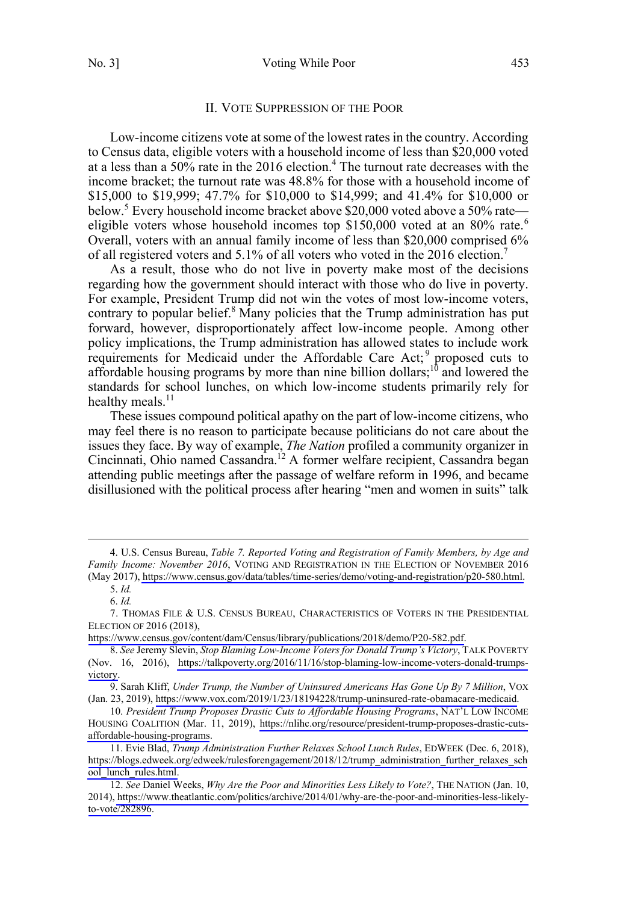#### II. VOTE SUPPRESSION OF THE POOR

<span id="page-2-0"></span>Low-income citizens vote at some of the lowest rates in the country. According to Census data, eligible voters with a household income of less than \$20,000 voted at a less than a  $50\%$  rate in the 2016 election.<sup>4</sup> The turnout rate decreases with the income bracket; the turnout rate was 48.8% for those with a household income of \$15,000 to \$19,999; 47.7% for \$10,000 to \$14,999; and 41.4% for \$10,000 or below.<sup>5</sup> Every household income bracket above \$20,000 voted above a 50% rate eligible voters whose household incomes top  $$150,000$  voted at an 80% rate.<sup>6</sup> Overall, voters with an annual family income of less than \$20,000 comprised 6% of all registered voters and 5.1% of all voters who voted in the 2016 election.<sup>7</sup>

As a result, those who do not live in poverty make most of the decisions regarding how the government should interact with those who do live in poverty. For example, President Trump did not win the votes of most low-income voters, contrary to popular belief.<sup>8</sup> Many policies that the Trump administration has put forward, however, disproportionately affect low-income people. Among other policy implications, the Trump administration has allowed states to include work requirements for Medicaid under the Affordable Care Act;<sup>9</sup> proposed cuts to affordable housing programs by more than nine billion dollars;<sup>10</sup> and lowered the standards for school lunches, on which low-income students primarily rely for healthy meals. $^{11}$ 

These issues compound political apathy on the part of low-income citizens, who may feel there is no reason to participate because politicians do not care about the issues they face. By way of example, *The Nation* profiled a community organizer in Cincinnati, Ohio named Cassandra.<sup>12</sup> A former welfare recipient, Cassandra began attending public meetings after the passage of welfare reform in 1996, and became disillusioned with the political process after hearing "men and women in suits" talk

U.S. Census Bureau, *Table 7. Reported Voting and Registration of Family Members, by Age and*  4. *Family Income: November 2016*, VOTING AND REGISTRATION IN THE ELECTION OF NOVEMBER 2016 (May 2017), [https://www.census.gov/data/tables/time-series/demo/voting-and-registration/p20-580.html.](https://www.census.gov/data/tables/time-series/demo/voting-and-registration/p20-580.html)

<sup>5.</sup> *Id.*

<sup>6.</sup> *Id.*

<sup>7.</sup> THOMAS FILE & U.S. CENSUS BUREAU, CHARACTERISTICS OF VOTERS IN THE PRESIDENTIAL ELECTION OF 2016 (2018),

<https://www.census.gov/content/dam/Census/library/publications/2018/demo/P20-582.pdf>.

*See* Jeremy Slevin, *Stop Blaming Low-Income Voters for Donald Trump's Victory*, TALK POVERTY 8. (Nov. 16, 2016), [https://talkpoverty.org/2016/11/16/stop-blaming-low-income-voters-donald-trumps](https://talkpoverty.org/2016/11/16/stop-blaming-low-income-voters-donald-trumps-victory)[victory](https://talkpoverty.org/2016/11/16/stop-blaming-low-income-voters-donald-trumps-victory).

<sup>9.</sup> Sarah Kliff, *Under Trump, the Number of Uninsured Americans Has Gone Up By 7 Million*, VOX (Jan. 23, 2019),<https://www.vox.com/2019/1/23/18194228/trump-uninsured-rate-obamacare-medicaid>.

*President Trump Proposes Drastic Cuts to Affordable Housing Programs*, NAT'L LOW INCOME 10. HOUSING COALITION (Mar. 11, 2019), [https://nlihc.org/resource/president-trump-proposes-drastic-cuts](https://nlihc.org/resource/president-trump-proposes-drastic-cuts-affordable-housing-programs)[affordable-housing-programs](https://nlihc.org/resource/president-trump-proposes-drastic-cuts-affordable-housing-programs).

<sup>11.</sup> Evie Blad, *Trump Administration Further Relaxes School Lunch Rules*, EDWEEK (Dec. 6, 2018), [https://blogs.edweek.org/edweek/rulesforengagement/2018/12/trump\\_administration\\_further\\_relaxes\\_sch](https://blogs.edweek.org/edweek/rulesforengagement/2018/12/trump_administration_further_relaxes_school_lunch_rules.html) [ool\\_lunch\\_rules.html.](https://blogs.edweek.org/edweek/rulesforengagement/2018/12/trump_administration_further_relaxes_school_lunch_rules.html)

*See* Daniel Weeks, *Why Are the Poor and Minorities Less Likely to Vote?*, THE NATION (Jan. 10, 12. 2014), [https://www.theatlantic.com/politics/archive/2014/01/why-are-the-poor-and-minorities-less-likely](https://www.theatlantic.com/politics/archive/2014/01/why-are-the-poor-and-minorities-less-likely-to-vote/282896)[to-vote/282896.](https://www.theatlantic.com/politics/archive/2014/01/why-are-the-poor-and-minorities-less-likely-to-vote/282896)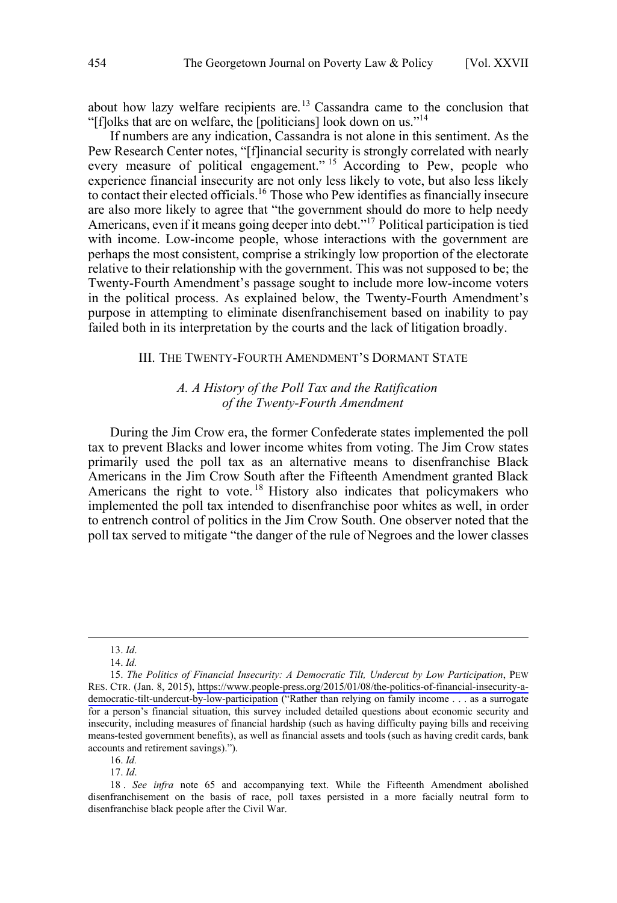<span id="page-3-0"></span>about how lazy welfare recipients are.<sup>13</sup> Cassandra came to the conclusion that "[f]olks that are on welfare, the [politicians] look down on us."14

If numbers are any indication, Cassandra is not alone in this sentiment. As the Pew Research Center notes, "[f]inancial security is strongly correlated with nearly every measure of political engagement."<sup>15</sup> According to Pew, people who experience financial insecurity are not only less likely to vote, but also less likely to contact their elected officials.<sup>16</sup> Those who Pew identifies as financially insecure are also more likely to agree that "the government should do more to help needy Americans, even if it means going deeper into debt."<sup>17</sup> Political participation is tied with income. Low-income people, whose interactions with the government are perhaps the most consistent, comprise a strikingly low proportion of the electorate relative to their relationship with the government. This was not supposed to be; the Twenty-Fourth Amendment's passage sought to include more low-income voters in the political process. As explained below, the Twenty-Fourth Amendment's purpose in attempting to eliminate disenfranchisement based on inability to pay failed both in its interpretation by the courts and the lack of litigation broadly.

## III. THE TWENTY-FOURTH AMENDMENT'S DORMANT STATE

# *A. A History of the Poll Tax and the Ratification of the Twenty-Fourth Amendment*

During the Jim Crow era, the former Confederate states implemented the poll tax to prevent Blacks and lower income whites from voting. The Jim Crow states primarily used the poll tax as an alternative means to disenfranchise Black Americans in the Jim Crow South after the Fifteenth Amendment granted Black Americans the right to vote.<sup>18</sup> History also indicates that policymakers who implemented the poll tax intended to disenfranchise poor whites as well, in order to entrench control of politics in the Jim Crow South. One observer noted that the poll tax served to mitigate "the danger of the rule of Negroes and the lower classes

 $\overline{a}$ 

16. *Id.* 

17. *Id*.

<sup>13.</sup> *Id*.

<sup>14.</sup> *Id.*

<sup>15.</sup> The Politics of Financial Insecurity: A Democratic Tilt, Undercut by Low Participation, PEW RES. CTR. (Jan. 8, 2015), [https://www.people-press.org/2015/01/08/the-politics-of-financial-insecurity-a](https://www.people-press.org/2015/01/08/the-politics-of-financial-insecurity-a-democratic-tilt-undercut-by-low-participation)[democratic-tilt-undercut-by-low-participation](https://www.people-press.org/2015/01/08/the-politics-of-financial-insecurity-a-democratic-tilt-undercut-by-low-participation) ("Rather than relying on family income . . . as a surrogate for a person's financial situation, this survey included detailed questions about economic security and insecurity, including measures of financial hardship (such as having difficulty paying bills and receiving means-tested government benefits), as well as financial assets and tools (such as having credit cards, bank accounts and retirement savings).").

<sup>18 .</sup> *See infra* note 65 and accompanying text. While the Fifteenth Amendment abolished disenfranchisement on the basis of race, poll taxes persisted in a more facially neutral form to disenfranchise black people after the Civil War.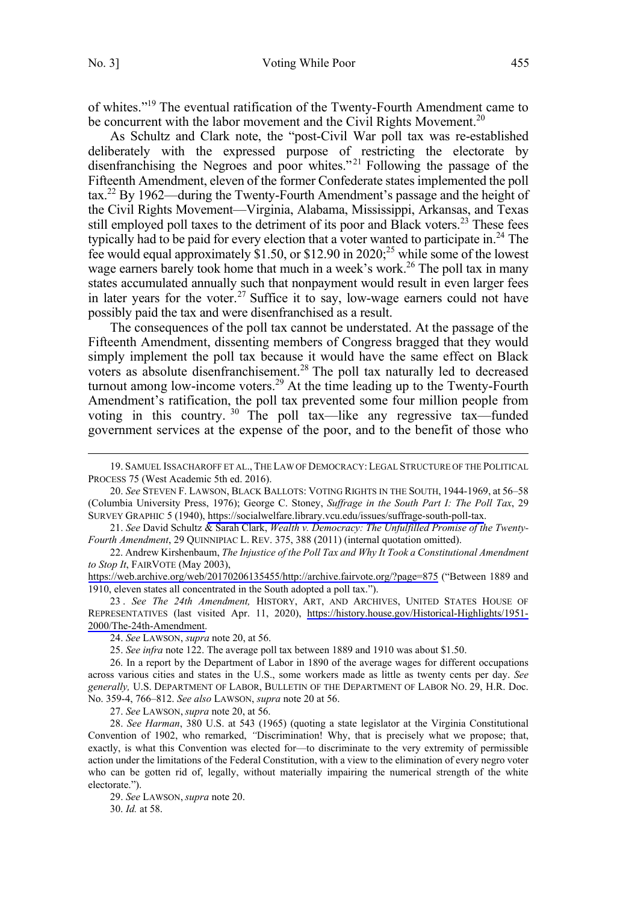$\overline{a}$ 

of whites."19 The eventual ratification of the Twenty-Fourth Amendment came to be concurrent with the labor movement and the Civil Rights Movement.<sup>20</sup>

As Schultz and Clark note, the "post-Civil War poll tax was re-established deliberately with the expressed purpose of restricting the electorate by disenfranchising the Negroes and poor whites."<sup>21</sup> Following the passage of the Fifteenth Amendment, eleven of the former Confederate states implemented the poll tax.22 By 1962—during the Twenty-Fourth Amendment's passage and the height of the Civil Rights Movement—Virginia, Alabama, Mississippi, Arkansas, and Texas still employed poll taxes to the detriment of its poor and Black voters.<sup>23</sup> These fees typically had to be paid for every election that a voter wanted to participate in.<sup>24</sup> The fee would equal approximately \$1.50, or \$12.90 in 2020;<sup>25</sup> while some of the lowest wage earners barely took home that much in a week's work.<sup>26</sup> The poll tax in many states accumulated annually such that nonpayment would result in even larger fees in later years for the voter.<sup>27</sup> Suffice it to say, low-wage earners could not have possibly paid the tax and were disenfranchised as a result.

The consequences of the poll tax cannot be understated. At the passage of the Fifteenth Amendment, dissenting members of Congress bragged that they would simply implement the poll tax because it would have the same effect on Black voters as absolute disenfranchisement.<sup>28</sup> The poll tax naturally led to decreased turnout among low-income voters.<sup>29</sup> At the time leading up to the Twenty-Fourth Amendment's ratification, the poll tax prevented some four million people from voting in this country.<sup>30</sup> The poll tax—like any regressive tax—funded government services at the expense of the poor, and to the benefit of those who

27. *See* LAWSON, *supra* note 20, at 56.

28. *See Harman*, 380 U.S. at 543 (1965) (quoting a state legislator at the Virginia Constitutional Convention of 1902, who remarked, *"*Discrimination! Why, that is precisely what we propose; that, exactly, is what this Convention was elected for—to discriminate to the very extremity of permissible action under the limitations of the Federal Constitution, with a view to the elimination of every negro voter who can be gotten rid of, legally, without materially impairing the numerical strength of the white electorate.").

29. *See* LAWSON, *supra* note 20.

30. *Id.* at 58.

<sup>19.</sup> SAMUEL ISSACHAROFF ET AL., THE LAW OF DEMOCRACY:LEGAL STRUCTURE OF THE POLITICAL PROCESS 75 (West Academic 5th ed. 2016).

*See* STEVEN F. LAWSON, BLACK BALLOTS: VOTING RIGHTS IN THE SOUTH, 1944-1969, at 56–58 20. (Columbia University Press, 1976); George C. Stoney, *Suffrage in the South Part I: The Poll Tax*, 29 SURVEY GRAPHIC 5 (1940), [https://socialwelfare.library.vcu.edu/issues/suffrage-south-poll-tax.](https://socialwelfare.library.vcu.edu/issues/suffrage-south-poll-tax)

<sup>21.</sup> *See* David Schultz & Sarah Clark, *Wealth v. Democracy: The Unfulfilled Promise of the Twenty-Fourth Amendment*, 29 QUINNIPIAC L. REV. 375, 388 (2011) (internal quotation omitted).

<sup>22.</sup> Andrew Kirshenbaum, *The Injustice of the Poll Tax and Why It Took a Constitutional Amendment to Stop It*, FAIRVOTE (May 2003),

<https://web.archive.org/web/20170206135455/http://archive.fairvote.org/?page=875> ("Between 1889 and 1910, eleven states all concentrated in the South adopted a poll tax.").

<sup>23.</sup> See The 24th Amendment, HISTORY, ART, AND ARCHIVES, UNITED STATES HOUSE OF REPRESENTATIVES (last visited Apr. 11, 2020), [https://history.house.gov/Historical-Highlights/1951-](https://history.house.gov/Historical-Highlights/1951-2000/The-24th-Amendment) [2000/The-24th-Amendment.](https://history.house.gov/Historical-Highlights/1951-2000/The-24th-Amendment)

<sup>24.</sup> *See* LAWSON, *supra* note 20, at 56.

<sup>25.</sup> *See infra* note 122. The average poll tax between 1889 and 1910 was about \$1.50.

<sup>26.</sup> In a report by the Department of Labor in 1890 of the average wages for different occupations across various cities and states in the U.S., some workers made as little as twenty cents per day. *See generally,* U.S. DEPARTMENT OF LABOR, BULLETIN OF THE DEPARTMENT OF LABOR NO. 29, H.R. Doc. No. 359-4, 766–812. *See also* LAWSON, *supra* note 20 at 56.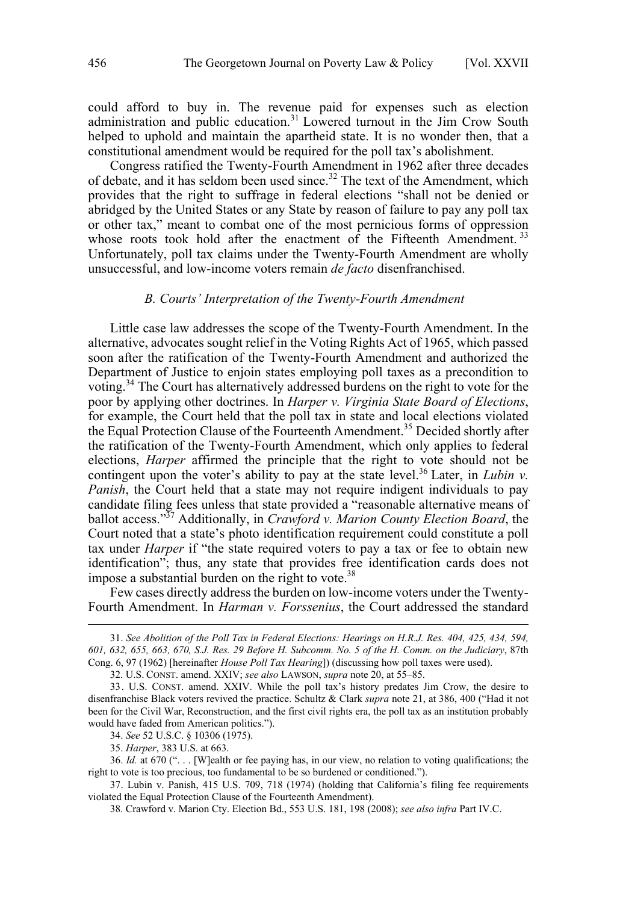<span id="page-5-0"></span>could afford to buy in. The revenue paid for expenses such as election administration and public education.<sup>31</sup> Lowered turnout in the Jim Crow South helped to uphold and maintain the apartheid state. It is no wonder then, that a constitutional amendment would be required for the poll tax's abolishment.

Congress ratified the Twenty-Fourth Amendment in 1962 after three decades of debate, and it has seldom been used since.<sup>32</sup> The text of the Amendment, which provides that the right to suffrage in federal elections "shall not be denied or abridged by the United States or any State by reason of failure to pay any poll tax or other tax," meant to combat one of the most pernicious forms of oppression whose roots took hold after the enactment of the Fifteenth Amendment.<sup>33</sup> Unfortunately, poll tax claims under the Twenty-Fourth Amendment are wholly unsuccessful, and low-income voters remain *de facto* disenfranchised.

## *B. Courts' Interpretation of the Twenty-Fourth Amendment*

Little case law addresses the scope of the Twenty-Fourth Amendment. In the alternative, advocates sought relief in the Voting Rights Act of 1965, which passed soon after the ratification of the Twenty-Fourth Amendment and authorized the Department of Justice to enjoin states employing poll taxes as a precondition to voting.<sup>34</sup> The Court has alternatively addressed burdens on the right to vote for the poor by applying other doctrines. In *Harper v. Virginia State Board of Elections*, for example, the Court held that the poll tax in state and local elections violated the Equal Protection Clause of the Fourteenth Amendment.<sup>35</sup> Decided shortly after the ratification of the Twenty-Fourth Amendment, which only applies to federal elections, *Harper* affirmed the principle that the right to vote should not be contingent upon the voter's ability to pay at the state level.<sup>36</sup> Later, in *Lubin v. Panish*, the Court held that a state may not require indigent individuals to pay candidate filing fees unless that state provided a "reasonable alternative means of ballot access."37 Additionally, in *Crawford v. Marion County Election Board*, the Court noted that a state's photo identification requirement could constitute a poll tax under *Harper* if "the state required voters to pay a tax or fee to obtain new identification"; thus, any state that provides free identification cards does not impose a substantial burden on the right to vote. $38$ 

Few cases directly address the burden on low-income voters under the Twenty-Fourth Amendment. In *Harman v. Forssenius*, the Court addressed the standard

32. U.S. CONST. amend. XXIV; *see also* LAWSON, *supra* note 20, at 55–85.

34. *See* 52 U.S.C. § 10306 (1975).

35. *Harper*, 383 U.S. at 663.

 $\overline{a}$ 

37. Lubin v. Panish, 415 U.S. 709, 718 (1974) (holding that California's filing fee requirements violated the Equal Protection Clause of the Fourteenth Amendment).

<sup>31.</sup>  *See Abolition of the Poll Tax in Federal Elections: Hearings on H.R.J. Res. 404, 425, 434, 594, 601, 632, 655, 663, 670, S.J. Res. 29 Before H. Subcomm. No. 5 of the H. Comm. on the Judiciary*, 87th Cong. 6, 97 (1962) [hereinafter *House Poll Tax Hearing*]) (discussing how poll taxes were used).

<sup>33.</sup> U.S. CONST. amend. XXIV. While the poll tax's history predates Jim Crow, the desire to disenfranchise Black voters revived the practice. Schultz & Clark *supra* note 21, at 386, 400 ("Had it not been for the Civil War, Reconstruction, and the first civil rights era, the poll tax as an institution probably would have faded from American politics.").

<sup>36.</sup> *Id.* at 670 (". . . [W]ealth or fee paying has, in our view, no relation to voting qualifications; the right to vote is too precious, too fundamental to be so burdened or conditioned.").

<sup>38.</sup> Crawford v. Marion Cty. Election Bd., 553 U.S. 181, 198 (2008); *see also infra* Part IV.C.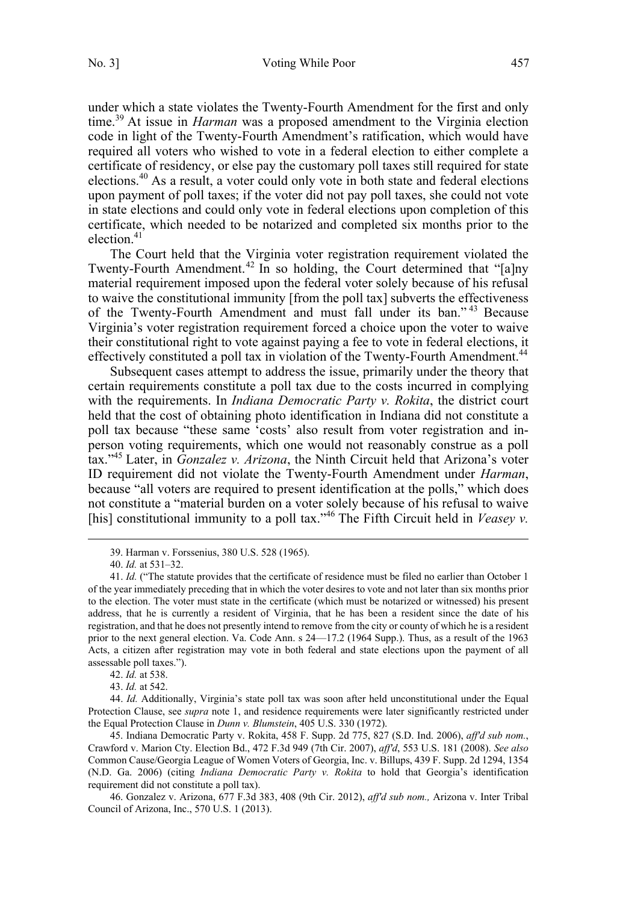under which a state violates the Twenty-Fourth Amendment for the first and only time.<sup>39</sup> At issue in *Harman* was a proposed amendment to the Virginia election code in light of the Twenty-Fourth Amendment's ratification, which would have required all voters who wished to vote in a federal election to either complete a certificate of residency, or else pay the customary poll taxes still required for state elections.<sup>40</sup> As a result, a voter could only vote in both state and federal elections upon payment of poll taxes; if the voter did not pay poll taxes, she could not vote in state elections and could only vote in federal elections upon completion of this certificate, which needed to be notarized and completed six months prior to the election. $41$ 

The Court held that the Virginia voter registration requirement violated the Twenty-Fourth Amendment.<sup>42</sup> In so holding, the Court determined that "[a]ny material requirement imposed upon the federal voter solely because of his refusal to waive the constitutional immunity [from the poll tax] subverts the effectiveness of the Twenty-Fourth Amendment and must fall under its ban." <sup>43</sup> Because Virginia's voter registration requirement forced a choice upon the voter to waive their constitutional right to vote against paying a fee to vote in federal elections, it effectively constituted a poll tax in violation of the Twenty-Fourth Amendment.<sup>44</sup>

Subsequent cases attempt to address the issue, primarily under the theory that certain requirements constitute a poll tax due to the costs incurred in complying with the requirements. In *Indiana Democratic Party v. Rokita*, the district court held that the cost of obtaining photo identification in Indiana did not constitute a poll tax because "these same 'costs' also result from voter registration and inperson voting requirements, which one would not reasonably construe as a poll tax."45 Later, in *Gonzalez v. Arizona*, the Ninth Circuit held that Arizona's voter ID requirement did not violate the Twenty-Fourth Amendment under *Harman*, because "all voters are required to present identification at the polls," which does not constitute a "material burden on a voter solely because of his refusal to waive [his] constitutional immunity to a poll tax."<sup>46</sup> The Fifth Circuit held in *Veasey v*.

45. Indiana Democratic Party v. Rokita, 458 F. Supp. 2d 775, 827 (S.D. Ind. 2006), *aff'd sub nom.*, Crawford v. Marion Cty. Election Bd., 472 F.3d 949 (7th Cir. 2007), *aff'd*, 553 U.S. 181 (2008). *See also*  Common Cause/Georgia League of Women Voters of Georgia, Inc. v. Billups, 439 F. Supp. 2d 1294, 1354 (N.D. Ga. 2006) (citing *Indiana Democratic Party v. Rokita* to hold that Georgia's identification requirement did not constitute a poll tax).

46. Gonzalez v. Arizona, 677 F.3d 383, 408 (9th Cir. 2012), *aff'd sub nom.,* Arizona v. Inter Tribal Council of Arizona, Inc., 570 U.S. 1 (2013).

<sup>39.</sup> Harman v. Forssenius, 380 U.S. 528 (1965).

<sup>40.</sup> *Id.* at 531–32.

<sup>41.</sup> *Id.* ("The statute provides that the certificate of residence must be filed no earlier than October 1 of the year immediately preceding that in which the voter desires to vote and not later than six months prior to the election. The voter must state in the certificate (which must be notarized or witnessed) his present address, that he is currently a resident of Virginia, that he has been a resident since the date of his registration, and that he does not presently intend to remove from the city or county of which he is a resident prior to the next general election. Va. Code Ann. s 24—17.2 (1964 Supp.). Thus, as a result of the 1963 Acts, a citizen after registration may vote in both federal and state elections upon the payment of all assessable poll taxes.").

<sup>42.</sup> *Id.* at 538.

<sup>43.</sup> *Id.* at 542.

<sup>44.</sup> *Id.* Additionally, Virginia's state poll tax was soon after held unconstitutional under the Equal Protection Clause, see *supra* note 1, and residence requirements were later significantly restricted under the Equal Protection Clause in *Dunn v. Blumstein*, 405 U.S. 330 (1972).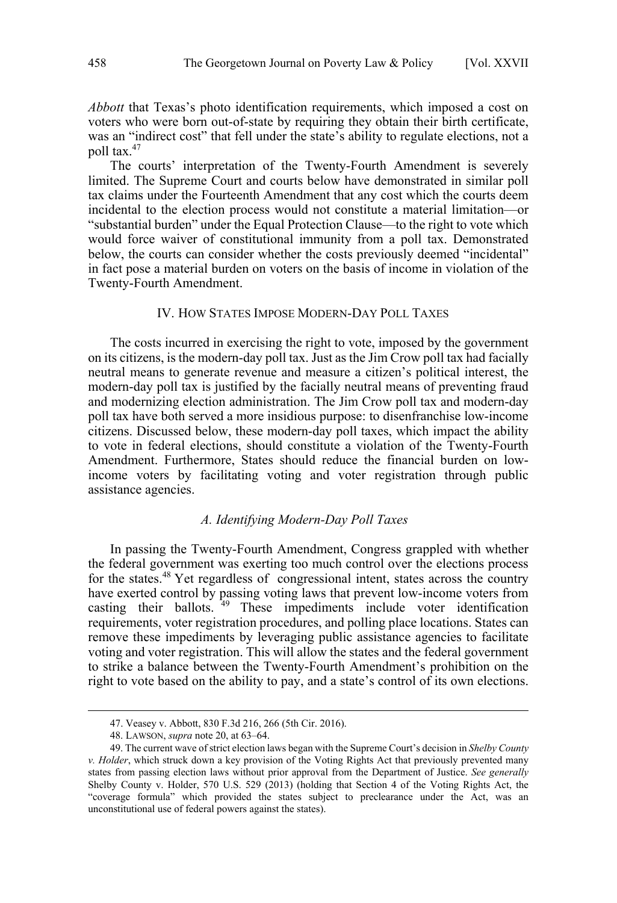<span id="page-7-0"></span>*Abbott* that Texas's photo identification requirements, which imposed a cost on voters who were born out-of-state by requiring they obtain their birth certificate, was an "indirect cost" that fell under the state's ability to regulate elections, not a poll tax. $47$ 

The courts' interpretation of the Twenty-Fourth Amendment is severely limited. The Supreme Court and courts below have demonstrated in similar poll tax claims under the Fourteenth Amendment that any cost which the courts deem incidental to the election process would not constitute a material limitation—or "substantial burden" under the Equal Protection Clause—to the right to vote which would force waiver of constitutional immunity from a poll tax. Demonstrated below, the courts can consider whether the costs previously deemed "incidental" in fact pose a material burden on voters on the basis of income in violation of the Twenty-Fourth Amendment.

## IV. HOW STATES IMPOSE MODERN-DAY POLL TAXES

The costs incurred in exercising the right to vote, imposed by the government on its citizens, is the modern-day poll tax. Just as the Jim Crow poll tax had facially neutral means to generate revenue and measure a citizen's political interest, the modern-day poll tax is justified by the facially neutral means of preventing fraud and modernizing election administration. The Jim Crow poll tax and modern-day poll tax have both served a more insidious purpose: to disenfranchise low-income citizens. Discussed below, these modern-day poll taxes, which impact the ability to vote in federal elections, should constitute a violation of the Twenty-Fourth Amendment. Furthermore, States should reduce the financial burden on lowincome voters by facilitating voting and voter registration through public assistance agencies.

# *A. Identifying Modern-Day Poll Taxes*

In passing the Twenty-Fourth Amendment, Congress grappled with whether the federal government was exerting too much control over the elections process for the states.<sup>48</sup> Yet regardless of congressional intent, states across the country have exerted control by passing voting laws that prevent low-income voters from casting their ballots. <sup>49</sup> These impediments include voter identification requirements, voter registration procedures, and polling place locations. States can remove these impediments by leveraging public assistance agencies to facilitate voting and voter registration. This will allow the states and the federal government to strike a balance between the Twenty-Fourth Amendment's prohibition on the right to vote based on the ability to pay, and a state's control of its own elections.

<sup>47.</sup> Veasey v. Abbott, 830 F.3d 216, 266 (5th Cir. 2016).

<sup>48.</sup> LAWSON, *supra* note 20, at 63–64.

<sup>49.</sup> The current wave of strict election laws began with the Supreme Court's decision in *Shelby County v. Holder*, which struck down a key provision of the Voting Rights Act that previously prevented many states from passing election laws without prior approval from the Department of Justice. *See generally*  Shelby County v. Holder, 570 U.S. 529 (2013) (holding that Section 4 of the Voting Rights Act, the "coverage formula" which provided the states subject to preclearance under the Act, was an unconstitutional use of federal powers against the states).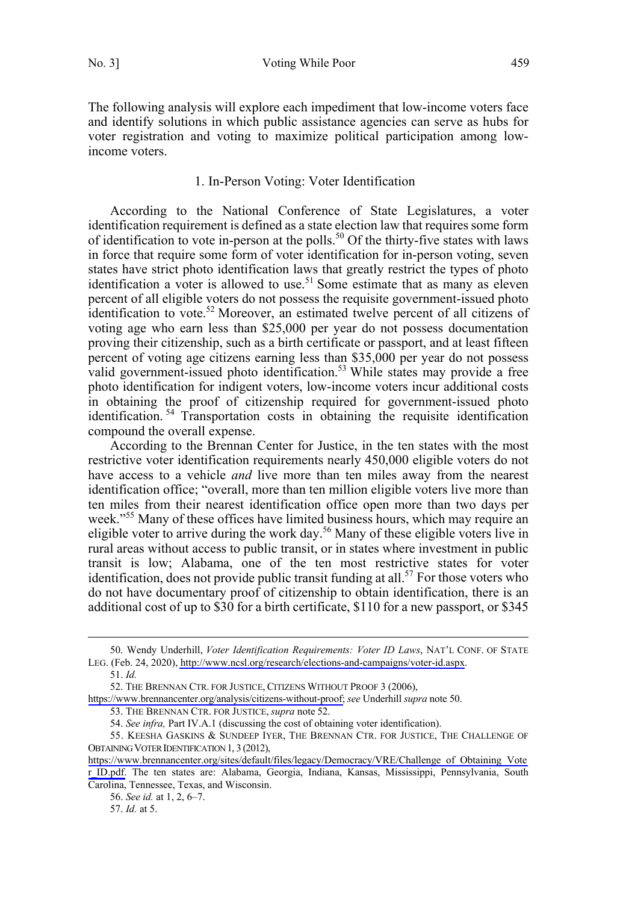<span id="page-8-0"></span>The following analysis will explore each impediment that low-income voters face and identify solutions in which public assistance agencies can serve as hubs for voter registration and voting to maximize political participation among lowincome voters.

# 1. In-Person Voting: Voter Identification

According to the National Conference of State Legislatures, a voter identification requirement is defined as a state election law that requires some form of identification to vote in-person at the polls.<sup>50</sup> Of the thirty-five states with laws in force that require some form of voter identification for in-person voting, seven states have strict photo identification laws that greatly restrict the types of photo identification a voter is allowed to use.<sup>51</sup> Some estimate that as many as eleven percent of all eligible voters do not possess the requisite government-issued photo identification to vote.<sup>52</sup> Moreover, an estimated twelve percent of all citizens of voting age who earn less than \$25,000 per year do not possess documentation proving their citizenship, such as a birth certificate or passport, and at least fifteen percent of voting age citizens earning less than \$35,000 per year do not possess valid government-issued photo identification.<sup>53</sup> While states may provide a free photo identification for indigent voters, low-income voters incur additional costs in obtaining the proof of citizenship required for government-issued photo identification. <sup>54</sup> Transportation costs in obtaining the requisite identification compound the overall expense.

According to the Brennan Center for Justice, in the ten states with the most restrictive voter identification requirements nearly 450,000 eligible voters do not have access to a vehicle *and* live more than ten miles away from the nearest identification office; "overall, more than ten million eligible voters live more than ten miles from their nearest identification office open more than two days per week."<sup>55</sup> Many of these offices have limited business hours, which may require an eligible voter to arrive during the work day.<sup>56</sup> Many of these eligible voters live in rural areas without access to public transit, or in states where investment in public transit is low; Alabama, one of the ten most restrictive states for voter identification, does not provide public transit funding at all.<sup>57</sup> For those voters who do not have documentary proof of citizenship to obtain identification, there is an additional cost of up to \$30 for a birth certificate, \$110 for a new passport, or \$345

<sup>50.</sup> Wendy Underhill, *Voter Identification Requirements: Voter ID Laws*, NAT'L CONF. OF STATE LEG. (Feb. 24, 2020), [http://www.ncsl.org/research/elections-and-campaigns/voter-id.aspx.](http://www.ncsl.org/research/elections-and-campaigns/voter-id.aspx)

<sup>51.</sup> *Id.*

<sup>52.</sup> THE BRENNAN CTR. FOR JUSTICE, CITIZENS WITHOUT PROOF 3 (2006),

[https://www.brennancenter.org/analysis/citizens-without-proof;](https://www.brennancenter.org/analysis/citizens-without-proof) *see* Underhill *supra* note 50.

<sup>53.</sup> THE BRENNAN CTR. FOR JUSTICE, *supra* note 52.

<sup>54.</sup> *See infra,* Part IV.A.1 (discussing the cost of obtaining voter identification).

<sup>55.</sup> KEESHA GASKINS & SUNDEEP IYER, THE BRENNAN CTR. FOR JUSTICE, THE CHALLENGE OF OBTAINING VOTER IDENTIFICATION 1, 3 (2012),

[https://www.brennancenter.org/sites/default/files/legacy/Democracy/VRE/Challenge\\_of\\_Obtaining\\_Vote](https://www.brennancenter.org/sites/default/files/legacy/Democracy/VRE/Challenge_of_Obtaining_Voter_ID.pdf) r ID.pdf. The ten states are: Alabama, Georgia, Indiana, Kansas, Mississippi, Pennsylvania, South Carolina, Tennessee, Texas, and Wisconsin.

<sup>56.</sup> *See id.* at 1, 2, 6–7.

<sup>57.</sup> *Id.* at 5.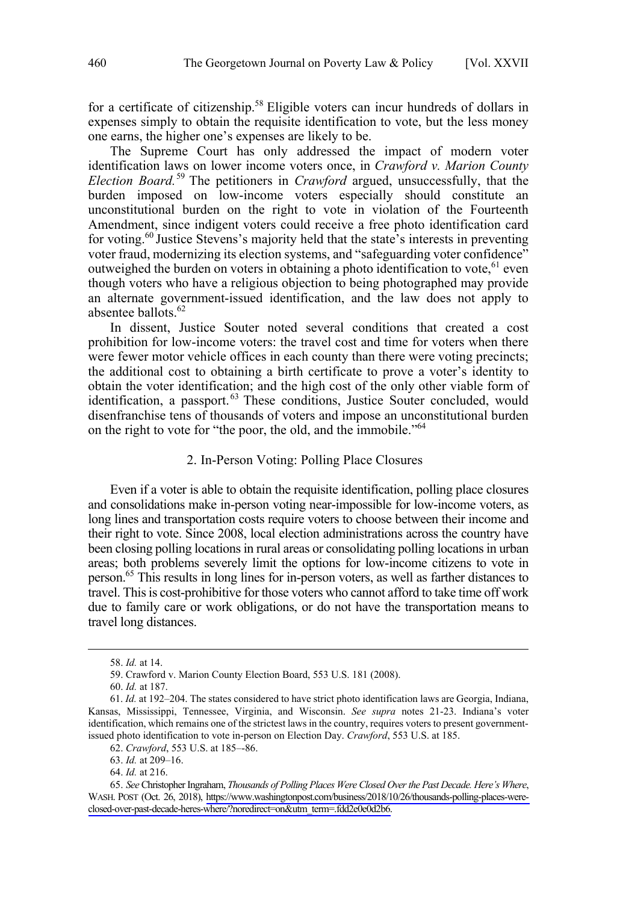<span id="page-9-0"></span>for a certificate of citizenship.<sup>58</sup> Eligible voters can incur hundreds of dollars in expenses simply to obtain the requisite identification to vote, but the less money one earns, the higher one's expenses are likely to be.

The Supreme Court has only addressed the impact of modern voter identification laws on lower income voters once, in *Crawford v. Marion County Election Board.*<sup>59</sup> The petitioners in *Crawford* argued, unsuccessfully, that the burden imposed on low-income voters especially should constitute an unconstitutional burden on the right to vote in violation of the Fourteenth Amendment, since indigent voters could receive a free photo identification card for voting.<sup>60</sup> Justice Stevens's majority held that the state's interests in preventing voter fraud, modernizing its election systems, and "safeguarding voter confidence" outweighed the burden on voters in obtaining a photo identification to vote, <sup>61</sup> even though voters who have a religious objection to being photographed may provide an alternate government-issued identification, and the law does not apply to absentee ballots.<sup>62</sup>

In dissent, Justice Souter noted several conditions that created a cost prohibition for low-income voters: the travel cost and time for voters when there were fewer motor vehicle offices in each county than there were voting precincts; the additional cost to obtaining a birth certificate to prove a voter's identity to obtain the voter identification; and the high cost of the only other viable form of identification, a passport.<sup>63</sup> These conditions, Justice Souter concluded, would disenfranchise tens of thousands of voters and impose an unconstitutional burden on the right to vote for "the poor, the old, and the immobile."64

# 2. In-Person Voting: Polling Place Closures

Even if a voter is able to obtain the requisite identification, polling place closures and consolidations make in-person voting near-impossible for low-income voters, as long lines and transportation costs require voters to choose between their income and their right to vote. Since 2008, local election administrations across the country have been closing polling locations in rural areas or consolidating polling locations in urban areas; both problems severely limit the options for low-income citizens to vote in person.<sup>65</sup> This results in long lines for in-person voters, as well as farther distances to travel. This is cost-prohibitive for those voters who cannot afford to take time off work due to family care or work obligations, or do not have the transportation means to travel long distances.

<sup>58.</sup> *Id.* at 14.

<sup>59.</sup> Crawford v. Marion County Election Board, 553 U.S. 181 (2008).

<sup>60.</sup> *Id.* at 187.

<sup>61.</sup> *Id.* at 192–204. The states considered to have strict photo identification laws are Georgia, Indiana, Kansas, Mississippi, Tennessee, Virginia, and Wisconsin. *See supra* notes 21-23. Indiana's voter identification, which remains one of the strictest laws in the country, requires voters to present governmentissued photo identification to vote in-person on Election Day. *Crawford*, 553 U.S. at 185.

<sup>62.</sup> *Crawford*, 553 U.S. at 185–-86.

<sup>63.</sup> *Id.* at 209–16.

<sup>64.</sup> *Id.* at 216.

*See* Christopher Ingraham, *Thousands of Polling Places Were Closed Over the Past Decade. Here's Where*, 65. WASH. POST (Oct. 26, 2018), [https://www.washingtonpost.com/business/2018/10/26/thousands-polling-places-were](https://www.washingtonpost.com/business/2018/10/26/thousands-polling-places-were-closed-over-past-decade-heres-where/?noredirect=on&utm_term=.fdd2e0e0d2b6)[closed-over-past-decade-heres-where/?noredirect=on&utm\\_term=.fdd2e0e0d2b6.](https://www.washingtonpost.com/business/2018/10/26/thousands-polling-places-were-closed-over-past-decade-heres-where/?noredirect=on&utm_term=.fdd2e0e0d2b6)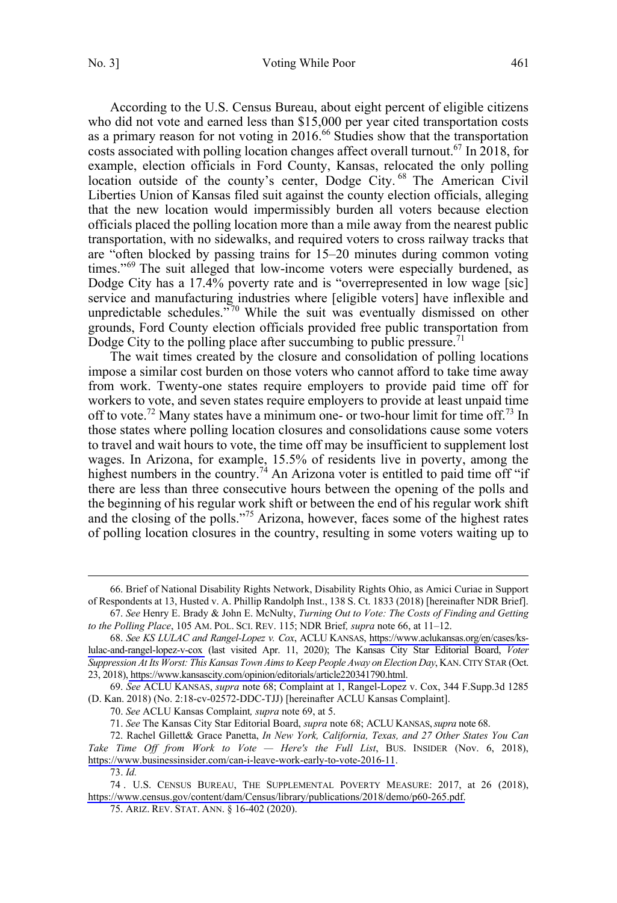According to the U.S. Census Bureau, about eight percent of eligible citizens who did not vote and earned less than \$15,000 per year cited transportation costs as a primary reason for not voting in 2016.<sup>66</sup> Studies show that the transportation costs associated with polling location changes affect overall turnout.<sup>67</sup> In 2018, for example, election officials in Ford County, Kansas, relocated the only polling location outside of the county's center, Dodge City.<sup>68</sup> The American Civil Liberties Union of Kansas filed suit against the county election officials, alleging that the new location would impermissibly burden all voters because election officials placed the polling location more than a mile away from the nearest public transportation, with no sidewalks, and required voters to cross railway tracks that are "often blocked by passing trains for 15–20 minutes during common voting times."<sup>69</sup> The suit alleged that low-income voters were especially burdened, as Dodge City has a 17.4% poverty rate and is "overrepresented in low wage [sic] service and manufacturing industries where [eligible voters] have inflexible and unpredictable schedules."<sup>70</sup> While the suit was eventually dismissed on other grounds, Ford County election officials provided free public transportation from Dodge City to the polling place after succumbing to public pressure.<sup>71</sup>

The wait times created by the closure and consolidation of polling locations impose a similar cost burden on those voters who cannot afford to take time away from work. Twenty-one states require employers to provide paid time off for workers to vote, and seven states require employers to provide at least unpaid time off to vote.<sup>72</sup> Many states have a minimum one- or two-hour limit for time off.<sup>73</sup> In those states where polling location closures and consolidations cause some voters to travel and wait hours to vote, the time off may be insufficient to supplement lost wages. In Arizona, for example, 15.5% of residents live in poverty, among the highest numbers in the country.<sup>74</sup> An Arizona voter is entitled to paid time off "if there are less than three consecutive hours between the opening of the polls and the beginning of his regular work shift or between the end of his regular work shift and the closing of the polls."75 Arizona, however, faces some of the highest rates of polling location closures in the country, resulting in some voters waiting up to

70. *See* ACLU Kansas Complaint*, supra* note 69, at 5.

71. *See* The Kansas City Star Editorial Board, *supra* note 68; ACLU KANSAS,*supra* note 68.

<sup>66.</sup> Brief of National Disability Rights Network, Disability Rights Ohio, as Amici Curiae in Support of Respondents at 13, Husted v. A. Phillip Randolph Inst., 138 S. Ct. 1833 (2018) [hereinafter NDR Brief].

<sup>67.</sup> *See* Henry E. Brady & John E. McNulty, *Turning Out to Vote: The Costs of Finding and Getting to the Polling Place*, 105 AM. POL. SCI. REV. 115; NDR Brief*, supra* note 66, at 11–12.

*See KS LULAC and Rangel-Lopez v. Cox*, ACLU KANSAS, [https://www.aclukansas.org/en/cases/ks-](https://www.aclukansas.org/en/cases/ks-lulac-and-rangel-lopez-v-cox)68. [lulac-and-rangel-lopez-v-cox](https://www.aclukansas.org/en/cases/ks-lulac-and-rangel-lopez-v-cox) (last visited Apr. 11, 2020); The Kansas City Star Editorial Board, *Voter Suppression At Its Worst: This Kansas Town Aims to Keep People Away on Election Day*, KAN.CITY STAR (Oct. 23, 2018), [https://www.kansascity.com/opinion/editorials/article220341790.html.](https://www.kansascity.com/opinion/editorials/article220341790.html)

<sup>69.</sup> *See* ACLU KANSAS, *supra* note 68; Complaint at 1, Rangel-Lopez v. Cox, 344 F.Supp.3d 1285 (D. Kan. 2018) (No. 2:18-cv-02572-DDC-TJJ) [hereinafter ACLU Kansas Complaint].

Rachel Gillett& Grace Panetta, *In New York, California, Texas, and 27 Other States You Can*  72. *Take Time Off from Work to Vote — Here's the Full List*, BUS. INSIDER (Nov. 6, 2018), <https://www.businessinsider.com/can-i-leave-work-early-to-vote-2016-11>.

<sup>73.</sup> *Id.*

<sup>74.</sup> U.S. CENSUS BUREAU, THE SUPPLEMENTAL POVERTY MEASURE: 2017, at 26 (2018), [https://www.census.gov/content/dam/Census/library/publications/2018/demo/p60-265.pdf.](https://www.census.gov/content/dam/Census/library/publications/2018/demo/p60-265.pdf)

<sup>75.</sup> ARIZ. REV. STAT. ANN. § 16-402 (2020).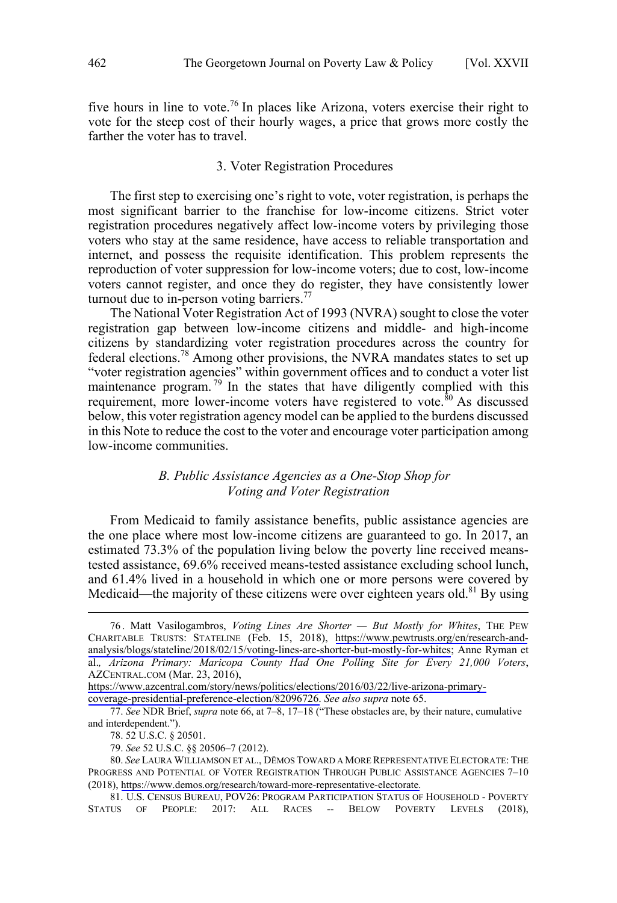<span id="page-11-0"></span>five hours in line to vote.<sup>76</sup> In places like Arizona, voters exercise their right to vote for the steep cost of their hourly wages, a price that grows more costly the farther the voter has to travel.

## 3. Voter Registration Procedures

The first step to exercising one's right to vote, voter registration, is perhaps the most significant barrier to the franchise for low-income citizens. Strict voter registration procedures negatively affect low-income voters by privileging those voters who stay at the same residence, have access to reliable transportation and internet, and possess the requisite identification. This problem represents the reproduction of voter suppression for low-income voters; due to cost, low-income voters cannot register, and once they do register, they have consistently lower turnout due to in-person voting barriers. $^{77}$ 

The National Voter Registration Act of 1993 (NVRA) sought to close the voter registration gap between low-income citizens and middle- and high-income citizens by standardizing voter registration procedures across the country for federal elections.<sup>78</sup> Among other provisions, the NVRA mandates states to set up "voter registration agencies" within government offices and to conduct a voter list maintenance program.<sup>79</sup> In the states that have diligently complied with this requirement, more lower-income voters have registered to vote. $80$  As discussed below, this voter registration agency model can be applied to the burdens discussed in this Note to reduce the cost to the voter and encourage voter participation among low-income communities.

# *B. Public Assistance Agencies as a One-Stop Shop for Voting and Voter Registration*

From Medicaid to family assistance benefits, public assistance agencies are the one place where most low-income citizens are guaranteed to go. In 2017, an estimated 73.3% of the population living below the poverty line received meanstested assistance, 69.6% received means-tested assistance excluding school lunch, and 61.4% lived in a household in which one or more persons were covered by Medicaid—the majority of these citizens were over eighteen years old.<sup>81</sup> By using

[coverage-presidential-preference-election/82096726.](https://www.azcentral.com/story/news/politics/elections/2016/03/22/live-arizona-primary-coverage-presidential-preference-election/82096726) *See also supra* note 65.

Matt Vasilogambros, *Voting Lines Are Shorter — But Mostly for Whites*, THE PEW CHARITABLE TRUSTS: STATELINE (Feb. 15, 2018), [https://www.pewtrusts.org/en/research-and](https://www.pewtrusts.org/en/research-and-analysis/blogs/stateline/2018/02/15/voting-lines-are-shorter-but-mostly-for-whites)[analysis/blogs/stateline/2018/02/15/voting-lines-are-shorter-but-mostly-for-whites](https://www.pewtrusts.org/en/research-and-analysis/blogs/stateline/2018/02/15/voting-lines-are-shorter-but-mostly-for-whites); Anne Ryman et al.*, Arizona Primary: Maricopa County Had One Polling Site for Every 21,000 Voters*, AZCENTRAL.COM (Mar. 23, 2016), 76 .

[https://www.azcentral.com/story/news/politics/elections/2016/03/22/live-arizona-primary-](https://www.azcentral.com/story/news/politics/elections/2016/03/22/live-arizona-primary-coverage-presidential-preference-election/82096726)

<sup>77.</sup> *See* NDR Brief, *supra* note 66, at 7–8, 17–18 ("These obstacles are, by their nature, cumulative and interdependent.").

<sup>78. 52</sup> U.S.C. § 20501.

<sup>79.</sup> *See* 52 U.S.C. §§ 20506–7 (2012).

*See* LAURA WILLIAMSON ET AL., DĒMOS TOWARD A MORE REPRESENTATIVE ELECTORATE: THE 80. PROGRESS AND POTENTIAL OF VOTER REGISTRATION THROUGH PUBLIC ASSISTANCE AGENCIES 7–10 (2018), [https://www.demos.org/research/toward-more-representative-electorate.](https://www.demos.org/research/toward-more-representative-electorate)

<sup>81.</sup> U.S. CENSUS BUREAU, POV26: PROGRAM PARTICIPATION STATUS OF HOUSEHOLD - POVERTY STATUS OF PEOPLE: 2017: ALL RACES -- BELOW POVERTY LEVELS (2018),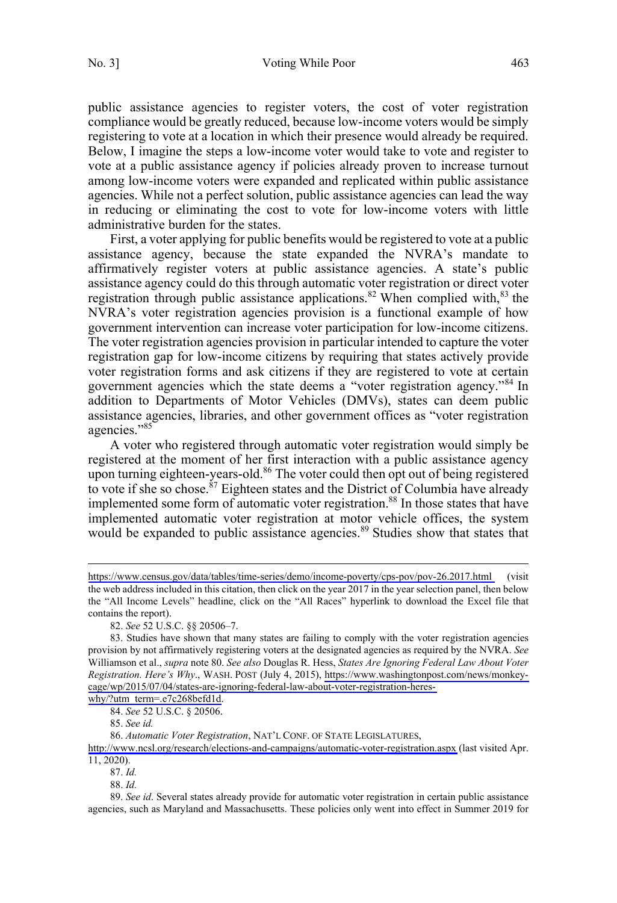public assistance agencies to register voters, the cost of voter registration compliance would be greatly reduced, because low-income voters would be simply registering to vote at a location in which their presence would already be required. Below, I imagine the steps a low-income voter would take to vote and register to vote at a public assistance agency if policies already proven to increase turnout among low-income voters were expanded and replicated within public assistance agencies. While not a perfect solution, public assistance agencies can lead the way in reducing or eliminating the cost to vote for low-income voters with little administrative burden for the states.

First, a voter applying for public benefits would be registered to vote at a public assistance agency, because the state expanded the NVRA's mandate to affirmatively register voters at public assistance agencies. A state's public assistance agency could do this through automatic voter registration or direct voter registration through public assistance applications.<sup>82</sup> When complied with, $83$  the NVRA's voter registration agencies provision is a functional example of how government intervention can increase voter participation for low-income citizens. The voter registration agencies provision in particular intended to capture the voter registration gap for low-income citizens by requiring that states actively provide voter registration forms and ask citizens if they are registered to vote at certain government agencies which the state deems a "voter registration agency."<sup>84</sup> In addition to Departments of Motor Vehicles (DMVs), states can deem public assistance agencies, libraries, and other government offices as "voter registration agencies."<sup>85</sup>

A voter who registered through automatic voter registration would simply be registered at the moment of her first interaction with a public assistance agency upon turning eighteen-years-old.<sup>86</sup> The voter could then opt out of being registered to vote if she so chose.<sup>87</sup> Eighteen states and the District of Columbia have already implemented some form of automatic voter registration.<sup>88</sup> In those states that have implemented automatic voter registration at motor vehicle offices, the system would be expanded to public assistance agencies.<sup>89</sup> Studies show that states that

[why/?utm\\_term=.e7c268befd1d.](https://www.washingtonpost.com/news/monkey-cage/wp/2015/07/04/states-are-ignoring-federal-law-about-voter-registration-heres-why/?utm_term=.e7c268befd1d) 84. *See* 52 U.S.C. § 20506.

85. *See id.*

*Automatic Voter Registration*, NAT'L CONF. OF STATE LEGISLATURES, 86.

<http://www.ncsl.org/research/elections-and-campaigns/automatic-voter-registration.aspx>(last visited Apr. 11, 2020).

87. *Id.*

 $\overline{a}$ 

88. *Id.*

89. *See id*. Several states already provide for automatic voter registration in certain public assistance agencies, such as Maryland and Massachusetts. These policies only went into effect in Summer 2019 for

<https://www.census.gov/data/tables/time-series/demo/income-poverty/cps-pov/pov-26.2017.html>(visit the web address included in this citation, then click on the year 2017 in the year selection panel, then below the "All Income Levels" headline, click on the "All Races" hyperlink to download the Excel file that contains the report).

<sup>82.</sup> *See* 52 U.S.C. §§ 20506–7.

<sup>83.</sup> Studies have shown that many states are failing to comply with the voter registration agencies provision by not affirmatively registering voters at the designated agencies as required by the NVRA. *See*  Williamson et al., *supra* note 80. *See also* Douglas R. Hess, *States Are Ignoring Federal Law About Voter Registration. Here's Why*., WASH. POST (July 4, 2015), [https://www.washingtonpost.com/news/monkey](https://www.washingtonpost.com/news/monkey-cage/wp/2015/07/04/states-are-ignoring-federal-law-about-voter-registration-heres-why/?utm_term=.e7c268befd1d)[cage/wp/2015/07/04/states-are-ignoring-federal-law-about-voter-registration-heres-](https://www.washingtonpost.com/news/monkey-cage/wp/2015/07/04/states-are-ignoring-federal-law-about-voter-registration-heres-why/?utm_term=.e7c268befd1d)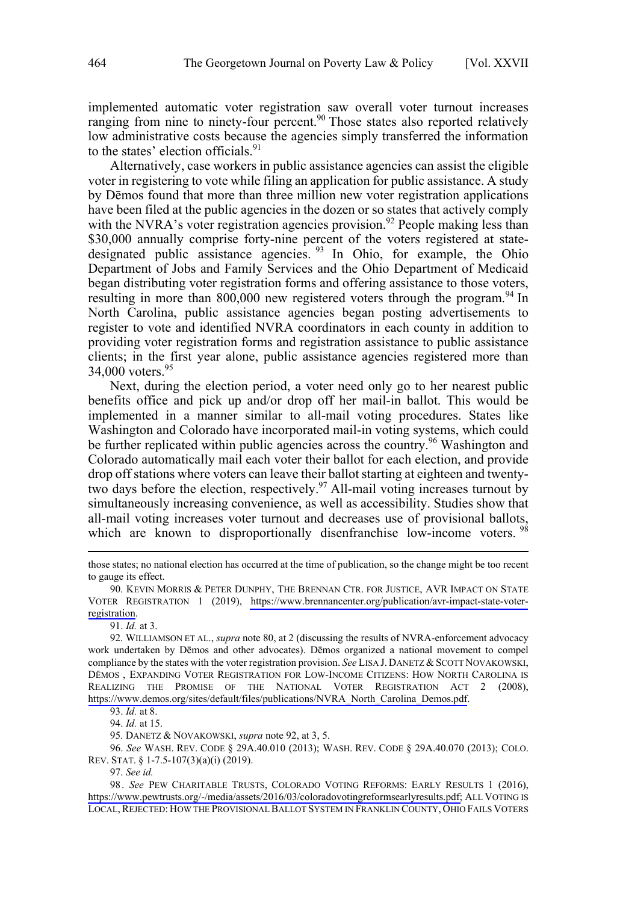implemented automatic voter registration saw overall voter turnout increases ranging from nine to ninety-four percent.<sup>90</sup> Those states also reported relatively low administrative costs because the agencies simply transferred the information to the states' election officials.<sup>91</sup>

Alternatively, case workers in public assistance agencies can assist the eligible voter in registering to vote while filing an application for public assistance. A study by Dēmos found that more than three million new voter registration applications have been filed at the public agencies in the dozen or so states that actively comply with the NVRA's voter registration agencies provision.<sup>92</sup> People making less than \$30,000 annually comprise forty-nine percent of the voters registered at statedesignated public assistance agencies.<sup>93</sup> In Ohio, for example, the Ohio Department of Jobs and Family Services and the Ohio Department of Medicaid began distributing voter registration forms and offering assistance to those voters, resulting in more than 800,000 new registered voters through the program.<sup>94</sup> In North Carolina, public assistance agencies began posting advertisements to register to vote and identified NVRA coordinators in each county in addition to providing voter registration forms and registration assistance to public assistance clients; in the first year alone, public assistance agencies registered more than 34,000 voters.<sup>95</sup>

Next, during the election period, a voter need only go to her nearest public benefits office and pick up and/or drop off her mail-in ballot. This would be implemented in a manner similar to all-mail voting procedures. States like Washington and Colorado have incorporated mail-in voting systems, which could be further replicated within public agencies across the country.<sup>96</sup> Washington and Colorado automatically mail each voter their ballot for each election, and provide drop off stations where voters can leave their ballot starting at eighteen and twentytwo days before the election, respectively.<sup>97</sup> All-mail voting increases turnout by simultaneously increasing convenience, as well as accessibility. Studies show that all-mail voting increases voter turnout and decreases use of provisional ballots, which are known to disproportionally disenfranchise low-income voters. <sup>98</sup>

95. DANETZ & NOVAKOWSKI, *supra* note 92, at 3, 5.

96. *See* WASH. REV. CODE § 29A.40.010 (2013); WASH. REV. CODE § 29A.40.070 (2013); COLO. REV. STAT. § 1-7.5-107(3)(a)(i) (2019).

97. *See id.*

98. See PEW CHARITABLE TRUSTS, COLORADO VOTING REFORMS: EARLY RESULTS 1 (2016), [https://www.pewtrusts.org/-/media/assets/2016/03/coloradovotingreformsearlyresults.pdf;](https://www.pewtrusts.org/-/media/assets/2016/03/coloradovotingreformsearlyresults.pdf) ALL VOTING IS LOCAL, REJECTED: HOW THE PROVISIONAL BALLOT SYSTEM IN FRANKLIN COUNTY, OHIO FAILS VOTERS

those states; no national election has occurred at the time of publication, so the change might be too recent to gauge its effect.

<sup>90.</sup> KEVIN MORRIS & PETER DUNPHY, THE BRENNAN CTR. FOR JUSTICE, AVR IMPACT ON STATE VOTER REGISTRATION 1 (2019), [https://www.brennancenter.org/publication/avr-impact-state-voter](https://www.brennancenter.org/publication/avr-impact-state-voter-registration)[registration.](https://www.brennancenter.org/publication/avr-impact-state-voter-registration)

<sup>91.</sup> *Id.* at 3.

WILLIAMSON ET AL., *supra* note 80, at 2 (discussing the results of NVRA-enforcement advocacy 92. work undertaken by Dēmos and other advocates). Dēmos organized a national movement to compel compliance by the states with the voter registration provision. *See* LISA J. DANETZ & SCOTT NOVAKOWSKI, DĒMOS , EXPANDING VOTER REGISTRATION FOR LOW-INCOME CITIZENS: HOW NORTH CAROLINA IS REALIZING THE PROMISE OF THE NATIONAL VOTER REGISTRATION ACT 2 (2008), [https://www.demos.org/sites/default/files/publications/NVRA\\_North\\_Carolina\\_Demos.pdf](https://www.demos.org/sites/default/files/publications/NVRA_North_Carolina_Demos.pdf).

<sup>93.</sup> *Id.* at 8.

<sup>94.</sup> *Id.* at 15.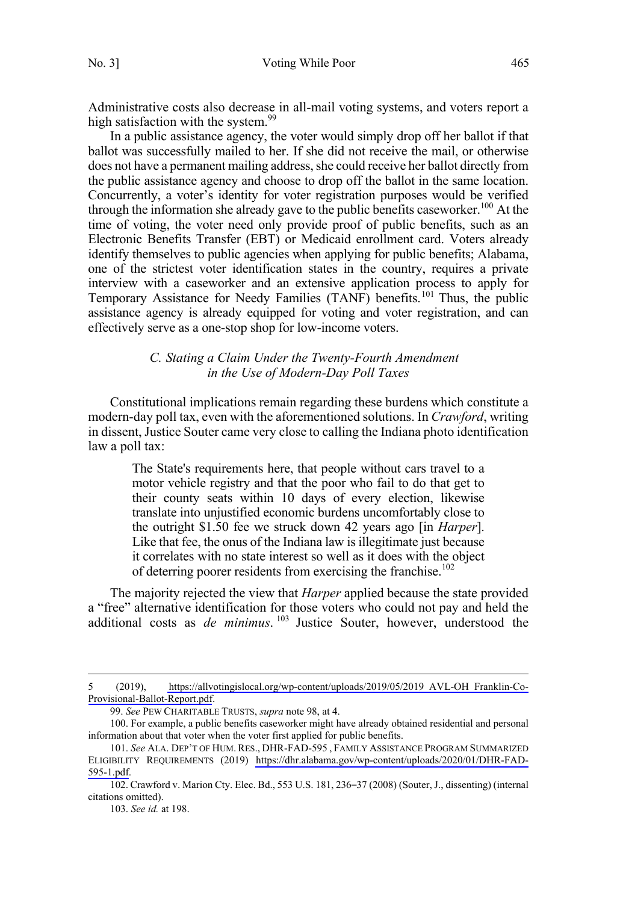<span id="page-14-0"></span>Administrative costs also decrease in all-mail voting systems, and voters report a high satisfaction with the system.<sup>99</sup>

In a public assistance agency, the voter would simply drop off her ballot if that ballot was successfully mailed to her. If she did not receive the mail, or otherwise does not have a permanent mailing address, she could receive her ballot directly from the public assistance agency and choose to drop off the ballot in the same location. Concurrently, a voter's identity for voter registration purposes would be verified through the information she already gave to the public benefits caseworker.<sup>100</sup> At the time of voting, the voter need only provide proof of public benefits, such as an Electronic Benefits Transfer (EBT) or Medicaid enrollment card. Voters already identify themselves to public agencies when applying for public benefits; Alabama, one of the strictest voter identification states in the country, requires a private interview with a caseworker and an extensive application process to apply for Temporary Assistance for Needy Families (TANF) benefits.<sup>101</sup> Thus, the public assistance agency is already equipped for voting and voter registration, and can effectively serve as a one-stop shop for low-income voters.

# *C. Stating a Claim Under the Twenty-Fourth Amendment in the Use of Modern-Day Poll Taxes*

Constitutional implications remain regarding these burdens which constitute a modern-day poll tax, even with the aforementioned solutions. In *Crawford*, writing in dissent, Justice Souter came very close to calling the Indiana photo identification law a poll tax:

The State's requirements here, that people without cars travel to a motor vehicle registry and that the poor who fail to do that get to their county seats within 10 days of every election, likewise translate into unjustified economic burdens uncomfortably close to the outright \$1.50 fee we struck down 42 years ago [in *Harper*]. Like that fee, the onus of the Indiana law is illegitimate just because it correlates with no state interest so well as it does with the object of deterring poorer residents from exercising the franchise.<sup>102</sup>

The majority rejected the view that *Harper* applied because the state provided a "free" alternative identification for those voters who could not pay and held the additional costs as *de minimus*. <sup>103</sup> Justice Souter, however, understood the

<sup>5</sup> (2019), [https://allvotingislocal.org/wp-content/uploads/2019/05/2019\\_AVL-OH\\_Franklin-Co-](https://allvotingislocal.org/wp-content/uploads/2019/05/2019_AVL-OH_Franklin-Co-Provisional-Ballot-Report.pdf)[Provisional-Ballot-Report.pdf](https://allvotingislocal.org/wp-content/uploads/2019/05/2019_AVL-OH_Franklin-Co-Provisional-Ballot-Report.pdf).

<sup>99.</sup> *See* PEW CHARITABLE TRUSTS, *supra* note 98, at 4.

<sup>100.</sup> For example, a public benefits caseworker might have already obtained residential and personal information about that voter when the voter first applied for public benefits.

*See* ALA. DEP'T OF HUM. RES., DHR-FAD-595 , FAMILY ASSISTANCE PROGRAM SUMMARIZED 101. ELIGIBILITY REQUIREMENTS (2019) [https://dhr.alabama.gov/wp-content/uploads/2020/01/DHR-FAD-](https://dhr.alabama.gov/wp-content/uploads/2020/01/DHR-FAD-595-1.pdf)[595-1.pdf](https://dhr.alabama.gov/wp-content/uploads/2020/01/DHR-FAD-595-1.pdf).

<sup>102.</sup> Crawford v. Marion Cty. Elec. Bd., 553 U.S. 181, 236–37 (2008) (Souter, J., dissenting) (internal citations omitted).

<sup>103.</sup> *See id.* at 198.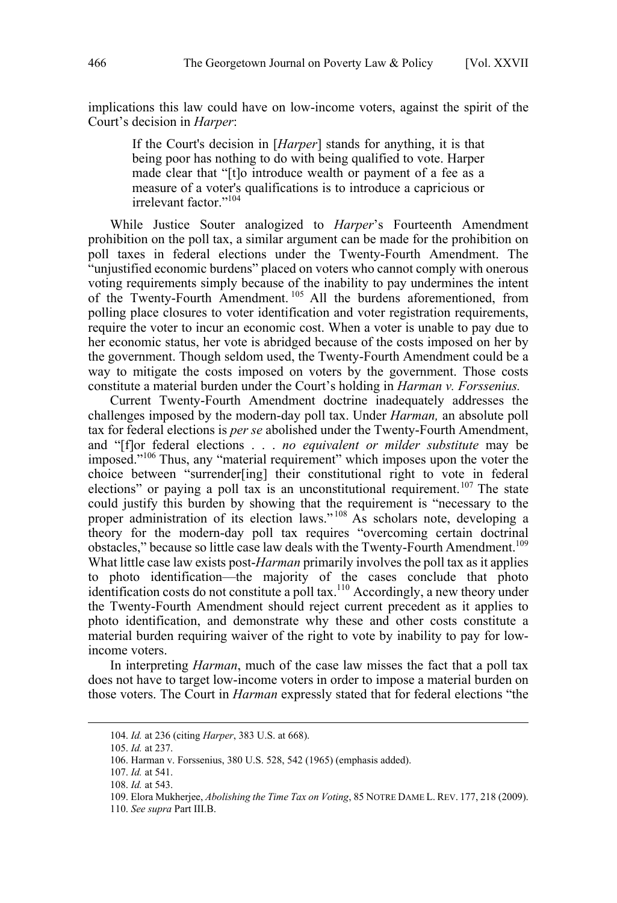implications this law could have on low-income voters, against the spirit of the Court's decision in *Harper*:

If the Court's decision in [*Harper*] stands for anything, it is that being poor has nothing to do with being qualified to vote. Harper made clear that "[t]o introduce wealth or payment of a fee as a measure of a voter's qualifications is to introduce a capricious or irrelevant factor."<sup>104</sup>

While Justice Souter analogized to *Harper*'s Fourteenth Amendment prohibition on the poll tax, a similar argument can be made for the prohibition on poll taxes in federal elections under the Twenty-Fourth Amendment. The "unjustified economic burdens" placed on voters who cannot comply with onerous voting requirements simply because of the inability to pay undermines the intent of the Twenty-Fourth Amendment. <sup>105</sup> All the burdens aforementioned, from polling place closures to voter identification and voter registration requirements, require the voter to incur an economic cost. When a voter is unable to pay due to her economic status, her vote is abridged because of the costs imposed on her by the government. Though seldom used, the Twenty-Fourth Amendment could be a way to mitigate the costs imposed on voters by the government. Those costs constitute a material burden under the Court's holding in *Harman v. Forssenius.* 

Current Twenty-Fourth Amendment doctrine inadequately addresses the challenges imposed by the modern-day poll tax. Under *Harman,* an absolute poll tax for federal elections is *per se* abolished under the Twenty-Fourth Amendment, and "[f]or federal elections . . . *no equivalent or milder substitute* may be imposed."106 Thus, any "material requirement" which imposes upon the voter the choice between "surrender[ing] their constitutional right to vote in federal elections" or paying a poll tax is an unconstitutional requirement.<sup>107</sup> The state could justify this burden by showing that the requirement is "necessary to the proper administration of its election laws."<sup>108</sup> As scholars note, developing a theory for the modern-day poll tax requires "overcoming certain doctrinal obstacles," because so little case law deals with the Twenty-Fourth Amendment.<sup>109</sup> What little case law exists post-*Harman* primarily involves the poll tax as it applies to photo identification—the majority of the cases conclude that photo identification costs do not constitute a poll tax.<sup>110</sup> Accordingly, a new theory under the Twenty-Fourth Amendment should reject current precedent as it applies to photo identification, and demonstrate why these and other costs constitute a material burden requiring waiver of the right to vote by inability to pay for lowincome voters.

In interpreting *Harman*, much of the case law misses the fact that a poll tax does not have to target low-income voters in order to impose a material burden on those voters. The Court in *Harman* expressly stated that for federal elections "the

<sup>104.</sup>  *Id.* at 236 (citing *Harper*, 383 U.S. at 668).

<sup>105.</sup> *Id.* at 237.

<sup>106.</sup> Harman v. Forssenius, 380 U.S. 528, 542 (1965) (emphasis added).

<sup>107.</sup> *Id.* at 541.

<sup>108.</sup> *Id.* at 543.

<sup>109.</sup> Elora Mukherjee, *Abolishing the Time Tax on Voting*, 85 NOTRE DAME L. REV. 177, 218 (2009).

<sup>110.</sup> *See supra* Part III.B.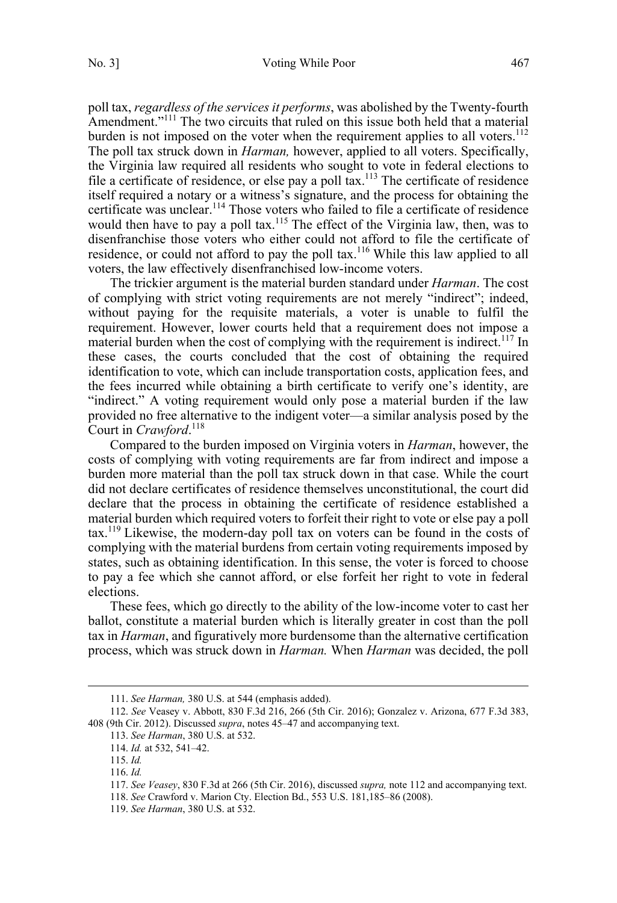poll tax, *regardless of the services it performs*, was abolished by the Twenty-fourth Amendment."<sup>111</sup> The two circuits that ruled on this issue both held that a material burden is not imposed on the voter when the requirement applies to all voters.<sup>112</sup> The poll tax struck down in *Harman,* however, applied to all voters. Specifically, the Virginia law required all residents who sought to vote in federal elections to file a certificate of residence, or else pay a poll tax.<sup>113</sup> The certificate of residence itself required a notary or a witness's signature, and the process for obtaining the certificate was unclear.<sup>114</sup> Those voters who failed to file a certificate of residence would then have to pay a poll tax.<sup>115</sup> The effect of the Virginia law, then, was to disenfranchise those voters who either could not afford to file the certificate of residence, or could not afford to pay the poll tax.<sup>116</sup> While this law applied to all voters, the law effectively disenfranchised low-income voters.

The trickier argument is the material burden standard under *Harman*. The cost of complying with strict voting requirements are not merely "indirect"; indeed, without paying for the requisite materials, a voter is unable to fulfil the requirement. However, lower courts held that a requirement does not impose a material burden when the cost of complying with the requirement is indirect.<sup>117</sup> In these cases, the courts concluded that the cost of obtaining the required identification to vote, which can include transportation costs, application fees, and the fees incurred while obtaining a birth certificate to verify one's identity, are "indirect." A voting requirement would only pose a material burden if the law provided no free alternative to the indigent voter—a similar analysis posed by the Court in *Crawford*. 118

Compared to the burden imposed on Virginia voters in *Harman*, however, the costs of complying with voting requirements are far from indirect and impose a burden more material than the poll tax struck down in that case. While the court did not declare certificates of residence themselves unconstitutional, the court did declare that the process in obtaining the certificate of residence established a material burden which required voters to forfeit their right to vote or else pay a poll  $\text{tax.}^{119}$  Likewise, the modern-day poll tax on voters can be found in the costs of complying with the material burdens from certain voting requirements imposed by states, such as obtaining identification. In this sense, the voter is forced to choose to pay a fee which she cannot afford, or else forfeit her right to vote in federal elections.

These fees, which go directly to the ability of the low-income voter to cast her ballot, constitute a material burden which is literally greater in cost than the poll tax in *Harman*, and figuratively more burdensome than the alternative certification process, which was struck down in *Harman.* When *Harman* was decided, the poll

<sup>111.</sup> *Se e Harman,* 380 U.S. at 544 (emphasis added).

<sup>112.</sup> *See* Veasey v. Abbott, 830 F.3d 216, 266 (5th Cir. 2016); Gonzalez v. Arizona, 677 F.3d 383, 408 (9th Cir. 2012). Discussed *supra*, notes 45–47 and accompanying text.

<sup>113.</sup> *See Harman*, 380 U.S. at 532.

<sup>114.</sup> *Id.* at 532, 541–42.

<sup>115.</sup> *Id.* 

<sup>116.</sup> *Id.* 

<sup>117.</sup> *See Veasey*, 830 F.3d at 266 (5th Cir. 2016), discussed *supra,* note 112 and accompanying text.

<sup>118.</sup> *See* Crawford v. Marion Cty. Election Bd., 553 U.S. 181,185–86 (2008).

<sup>119.</sup> *See Harman*, 380 U.S. at 532.